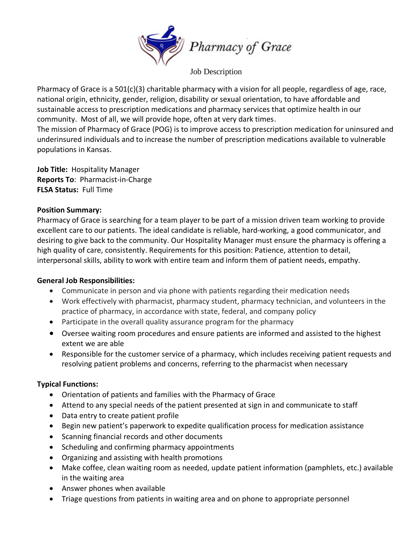

Job Description

Pharmacy of Grace is a 501(c)(3) charitable pharmacy with a vision for all people, regardless of age, race, national origin, ethnicity, gender, religion, disability or sexual orientation, to have affordable and sustainable access to prescription medications and pharmacy services that optimize health in our community. Most of all, we will provide hope, often at very dark times.

The mission of Pharmacy of Grace (POG) is to improve access to prescription medication for uninsured and underinsured individuals and to increase the number of prescription medications available to vulnerable populations in Kansas.

**Job Title:** Hospitality Manager **Reports To**: Pharmacist-in-Charge **FLSA Status:** Full Time

## **Position Summary:**

Pharmacy of Grace is searching for a team player to be part of a mission driven team working to provide excellent care to our patients. The ideal candidate is reliable, hard-working, a good communicator, and desiring to give back to the community. Our Hospitality Manager must ensure the pharmacy is offering a high quality of care, consistently. Requirements for this position: Patience, attention to detail, interpersonal skills, ability to work with entire team and inform them of patient needs, empathy.

# **General Job Responsibilities:**

- Communicate in person and via phone with patients regarding their medication needs
- Work effectively with pharmacist, pharmacy student, pharmacy technician, and volunteers in the practice of pharmacy, in accordance with state, federal, and company policy
- Participate in the overall quality assurance program for the pharmacy
- Oversee waiting room procedures and ensure patients are informed and assisted to the highest extent we are able
- Responsible for the customer service of a pharmacy, which includes receiving patient requests and resolving patient problems and concerns, referring to the pharmacist when necessary

# **Typical Functions:**

- Orientation of patients and families with the Pharmacy of Grace
- Attend to any special needs of the patient presented at sign in and communicate to staff
- Data entry to create patient profile
- Begin new patient's paperwork to expedite qualification process for medication assistance
- Scanning financial records and other documents
- Scheduling and confirming pharmacy appointments
- Organizing and assisting with health promotions
- Make coffee, clean waiting room as needed, update patient information (pamphlets, etc.) available in the waiting area
- Answer phones when available
- Triage questions from patients in waiting area and on phone to appropriate personnel